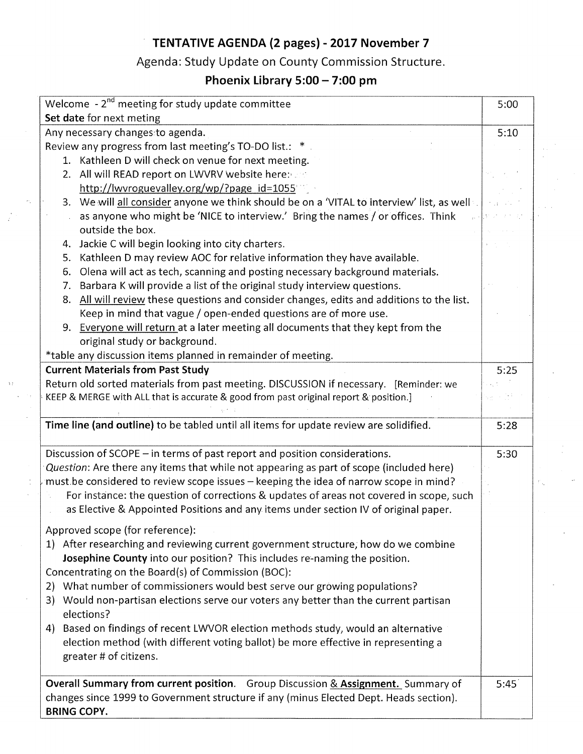# **TENTATIVE AGENDA (2 pages) - 2017 November 7**

# Agenda: Study Update on County Commission Structure.

# **Phoenix Library 5:00 - 7:00 pm**

| Welcome - 2 <sup>nd</sup> meeting for study update committee                                 | 5:00 |
|----------------------------------------------------------------------------------------------|------|
| Set date for next meting                                                                     |      |
| Any necessary changes to agenda.                                                             | 5:10 |
| Review any progress from last meeting's TO-DO list.: *                                       |      |
| 1. Kathleen D will check on venue for next meeting.                                          |      |
| 2. All will READ report on LWVRV website here:                                               |      |
| http://lwvroguevalley.org/wp/?page_id=1055                                                   |      |
| 3. We will all consider anyone we think should be on a 'VITAL to interview' list, as well    |      |
| as anyone who might be 'NICE to interview.' Bring the names / or offices. Think              |      |
| outside the box.                                                                             |      |
| Jackie C will begin looking into city charters.<br>4.                                        |      |
| Kathleen D may review AOC for relative information they have available.<br>5.                |      |
| Olena will act as tech, scanning and posting necessary background materials.<br>6.           |      |
| Barbara K will provide a list of the original study interview questions.<br>7.               |      |
| All will review these questions and consider changes, edits and additions to the list.<br>8. |      |
| Keep in mind that vague / open-ended questions are of more use.                              |      |
| 9. Everyone will return at a later meeting all documents that they kept from the             |      |
| original study or background.                                                                |      |
| *table any discussion items planned in remainder of meeting.                                 |      |
| <b>Current Materials from Past Study</b>                                                     | 5:25 |
| Return old sorted materials from past meeting. DISCUSSION if necessary. [Reminder: we        |      |
| KEEP & MERGE with ALL that is accurate & good from past original report & position.]         |      |
|                                                                                              |      |
| Time line (and outline) to be tabled until all items for update review are solidified.       | 5:28 |
|                                                                                              |      |
| Discussion of SCOPE - in terms of past report and position considerations.                   | 5:30 |
| Question: Are there any items that while not appearing as part of scope (included here)      |      |
| must be considered to review scope issues - keeping the idea of narrow scope in mind?        |      |
| For instance: the question of corrections & updates of areas not covered in scope, such      |      |
| as Elective & Appointed Positions and any items under section IV of original paper.          |      |
| Approved scope (for reference):                                                              |      |
| 1) After researching and reviewing current government structure, how do we combine           |      |
| Josephine County into our position? This includes re-naming the position.                    |      |
| Concentrating on the Board(s) of Commission (BOC):                                           |      |
|                                                                                              |      |
| 2) What number of commissioners would best serve our growing populations?                    |      |
| 3) Would non-partisan elections serve our voters any better than the current partisan        |      |
| elections?                                                                                   |      |
| 4) Based on findings of recent LWVOR election methods study, would an alternative            |      |
| election method (with different voting ballot) be more effective in representing a           |      |
| greater # of citizens.                                                                       |      |
| Overall Summary from current position. Group Discussion & Assignment. Summary of             | 5:45 |
| changes since 1999 to Government structure if any (minus Elected Dept. Heads section).       |      |
| <b>BRING COPY.</b>                                                                           |      |